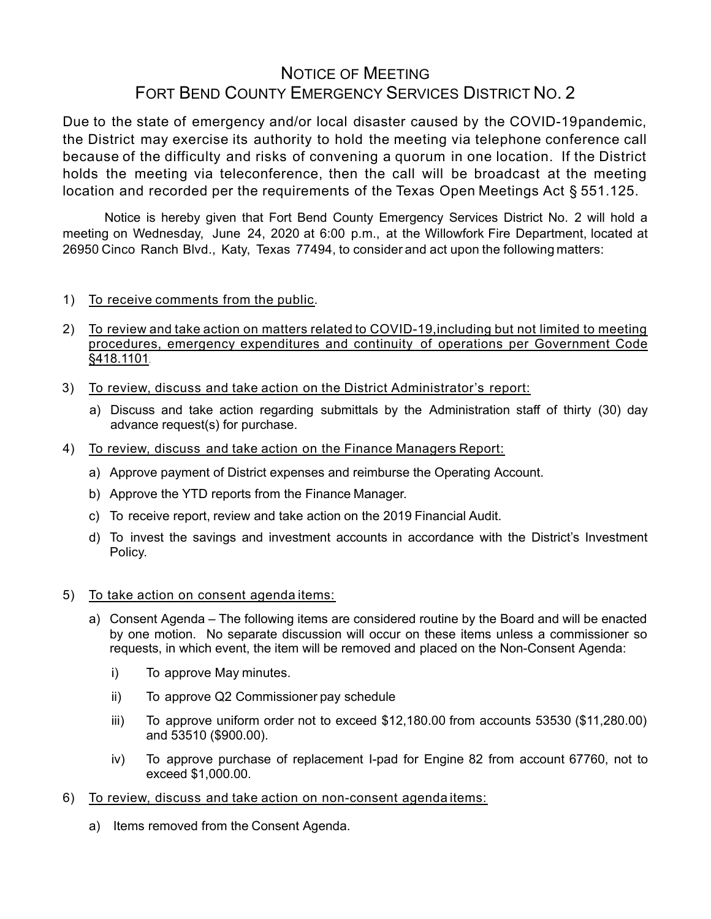## NOTICE OF MEETING FORT BEND COUNTY EMERGENCY SERVICES DISTRICT NO. 2

Due to the state of emergency and/or local disaster caused by the COVID-19pandemic, the District may exercise its authority to hold the meeting via telephone conference call because of the difficulty and risks of convening a quorum in one location. If the District holds the meeting via teleconference, then the call will be broadcast at the meeting location and recorded per the requirements of the Texas Open Meetings Act § 551.125.

Notice is hereby given that Fort Bend County Emergency Services District No. 2 will hold a meeting on Wednesday, June 24, 2020 at 6:00 p.m., at the Willowfork Fire Department, located at 26950 Cinco Ranch Blvd., Katy, Texas 77494, to consider and act upon the following matters:

- 1) To receive comments from the public.
- 2) To review and take action on matters related to COVID-19,including but not limited to meeting procedures, emergency expenditures and continuity of operations per Government Code §418.1101.
- 3) To review, discuss and take action on the District Administrator's report:
	- a) Discuss and take action regarding submittals by the Administration staff of thirty (30) day advance request(s) for purchase.
- 4) To review, discuss and take action on the Finance Managers Report:
	- a) Approve payment of District expenses and reimburse the Operating Account.
	- b) Approve the YTD reports from the Finance Manager.
	- c) To receive report, review and take action on the 2019 Financial Audit.
	- d) To invest the savings and investment accounts in accordance with the District's Investment Policy.
- 5) To take action on consent agenda items:
	- a) Consent Agenda The following items are considered routine by the Board and will be enacted by one motion. No separate discussion will occur on these items unless a commissioner so requests, in which event, the item will be removed and placed on the Non-Consent Agenda:
		- i) To approve May minutes.
		- ii) To approve Q2 Commissioner pay schedule
		- iii) To approve uniform order not to exceed \$12,180.00 from accounts 53530 (\$11,280.00) and 53510 (\$900.00).
		- iv) To approve purchase of replacement I-pad for Engine 82 from account 67760, not to exceed \$1,000.00.
- 6) To review, discuss and take action on non-consent agenda items:
	- a) Items removed from the Consent Agenda.